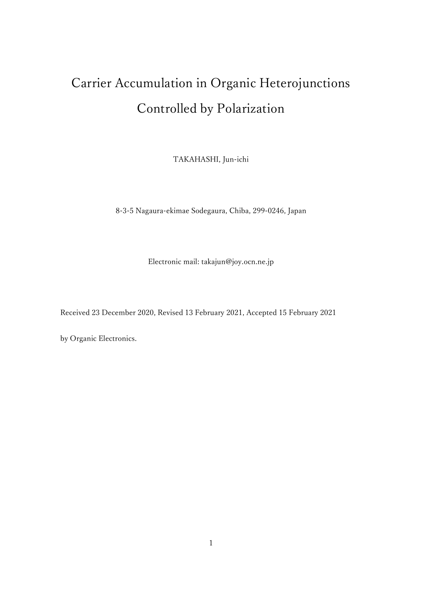# Carrier Accumulation in Organic Heterojunctions Controlled by Polarization

TAKAHASHI, Jun-ichi

8-3-5 Nagaura-ekimae Sodegaura, Chiba, 299-0246, Japan

Electronic mail: takajun@joy.ocn.ne.jp

Received 23 December 2020, Revised 13 February 2021, Accepted 15 February 2021

by Organic Electronics.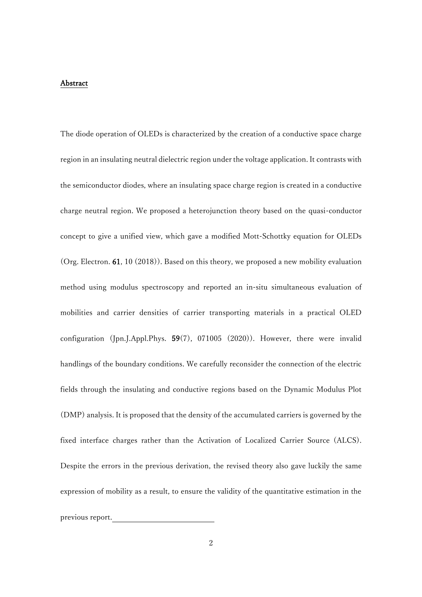### Abstract

The diode operation of OLEDs is characterized by the creation of a conductive space charge region in an insulating neutral dielectric region under the voltage application. It contrasts with the semiconductor diodes, where an insulating space charge region is created in a conductive charge neutral region. We proposed a heterojunction theory based on the quasi-conductor concept to give a unified view, which gave a modified Mott-Schottky equation for OLEDs (Org. Electron. 61, 10 (2018)). Based on this theory, we proposed a new mobility evaluation method using modulus spectroscopy and reported an in-situ simultaneous evaluation of mobilities and carrier densities of carrier transporting materials in a practical OLED configuration (Jpn.J.Appl.Phys. 59(7), 071005 (2020)). However, there were invalid handlings of the boundary conditions. We carefully reconsider the connection of the electric fields through the insulating and conductive regions based on the Dynamic Modulus Plot (DMP) analysis. It is proposed that the density of the accumulated carriers is governed by the fixed interface charges rather than the Activation of Localized Carrier Source (ALCS). Despite the errors in the previous derivation, the revised theory also gave luckily the same expression of mobility as a result, to ensure the validity of the quantitative estimation in the previous report.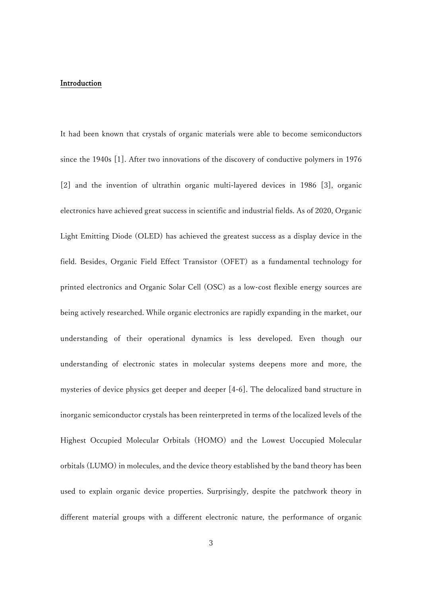## Introduction

It had been known that crystals of organic materials were able to become semiconductors since the 1940s [1]. After two innovations of the discovery of conductive polymers in 1976 [2] and the invention of ultrathin organic multi-layered devices in 1986 [3], organic electronics have achieved great success in scientific and industrial fields. As of 2020, Organic Light Emitting Diode (OLED) has achieved the greatest success as a display device in the field. Besides, Organic Field Effect Transistor (OFET) as a fundamental technology for printed electronics and Organic Solar Cell (OSC) as a low-cost flexible energy sources are being actively researched. While organic electronics are rapidly expanding in the market, our understanding of their operational dynamics is less developed. Even though our understanding of electronic states in molecular systems deepens more and more, the mysteries of device physics get deeper and deeper [4-6]. The delocalized band structure in inorganic semiconductor crystals has been reinterpreted in terms of the localized levels of the Highest Occupied Molecular Orbitals (HOMO) and the Lowest Uoccupied Molecular orbitals (LUMO) in molecules, and the device theory established by the band theory has been used to explain organic device properties. Surprisingly, despite the patchwork theory in different material groups with a different electronic nature, the performance of organic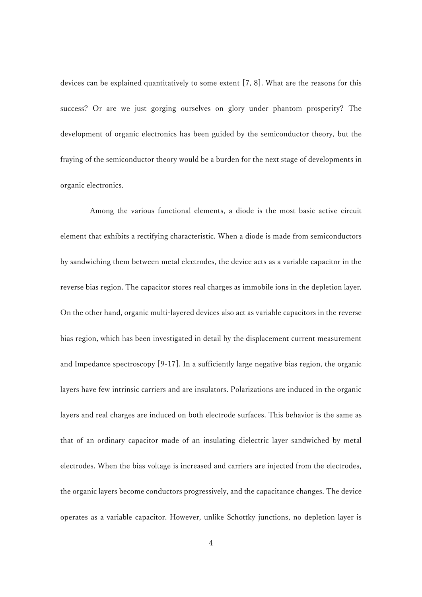devices can be explained quantitatively to some extent [7, 8]. What are the reasons for this success? Or are we just gorging ourselves on glory under phantom prosperity? The development of organic electronics has been guided by the semiconductor theory, but the fraying of the semiconductor theory would be a burden for the next stage of developments in organic electronics.

Among the various functional elements, a diode is the most basic active circuit element that exhibits a rectifying characteristic. When a diode is made from semiconductors by sandwiching them between metal electrodes, the device acts as a variable capacitor in the reverse bias region. The capacitor stores real charges as immobile ions in the depletion layer. On the other hand, organic multi-layered devices also act as variable capacitors in the reverse bias region, which has been investigated in detail by the displacement current measurement and Impedance spectroscopy [9-17]. In a sufficiently large negative bias region, the organic layers have few intrinsic carriers and are insulators. Polarizations are induced in the organic layers and real charges are induced on both electrode surfaces. This behavior is the same as that of an ordinary capacitor made of an insulating dielectric layer sandwiched by metal electrodes. When the bias voltage is increased and carriers are injected from the electrodes, the organic layers become conductors progressively, and the capacitance changes. The device operates as a variable capacitor. However, unlike Schottky junctions, no depletion layer is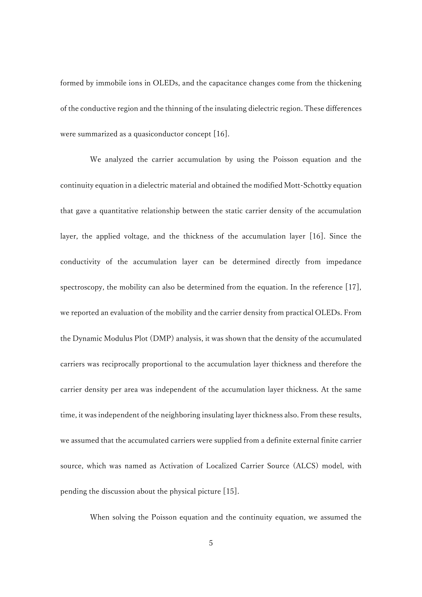formed by immobile ions in OLEDs, and the capacitance changes come from the thickening of the conductive region and the thinning of the insulating dielectric region. These differences were summarized as a quasiconductor concept [16].

We analyzed the carrier accumulation by using the Poisson equation and the continuity equation in a dielectric material and obtained the modified Mott-Schottky equation that gave a quantitative relationship between the static carrier density of the accumulation layer, the applied voltage, and the thickness of the accumulation layer [16]. Since the conductivity of the accumulation layer can be determined directly from impedance spectroscopy, the mobility can also be determined from the equation. In the reference [17], we reported an evaluation of the mobility and the carrier density from practical OLEDs. From the Dynamic Modulus Plot (DMP) analysis, it was shown that the density of the accumulated carriers was reciprocally proportional to the accumulation layer thickness and therefore the carrier density per area was independent of the accumulation layer thickness. At the same time, it was independent of the neighboring insulating layer thickness also. From these results, we assumed that the accumulated carriers were supplied from a definite external finite carrier source, which was named as Activation of Localized Carrier Source (ALCS) model, with pending the discussion about the physical picture [15].

When solving the Poisson equation and the continuity equation, we assumed the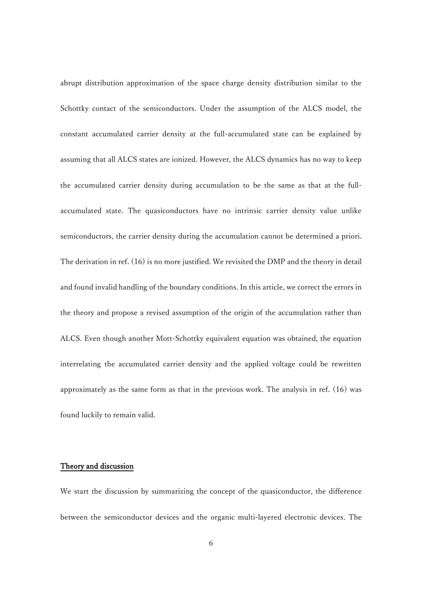abrupt distribution approximation of the space charge density distribution similar to the Schottky contact of the semiconductors. Under the assumption of the ALCS model, the constant accumulated carrier density at the full-accumulated state can be explained by assuming that all ALCS states are ionized. However, the ALCS dynamics has no way to keep the accumulated carrier density during accumulation to be the same as that at the fullaccumulated state. The quasiconductors have no intrinsic carrier density value unlike semiconductors, the carrier density during the accumulation cannot be determined a priori. The derivation in ref. (16) is no more justified. We revisited the DMP and the theory in detail and found invalid handling of the boundary conditions. In this article, we correct the errors in the theory and propose a revised assumption of the origin of the accumulation rather than ALCS. Even though another Mott-Schottky equivalent equation was obtained, the equation interrelating the accumulated carrier density and the applied voltage could be rewritten approximately as the same form as that in the previous work. The analysis in ref. (16) was found luckily to remain valid.

## Theory and discussion

We start the discussion by summarizing the concept of the quasiconductor, the difference between the semiconductor devices and the organic multi-layered electronic devices. The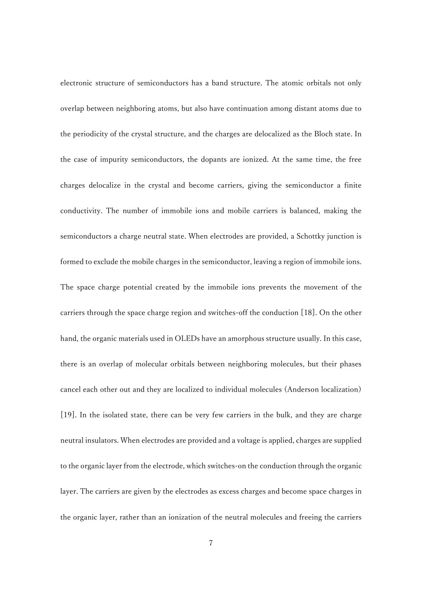electronic structure of semiconductors has a band structure. The atomic orbitals not only overlap between neighboring atoms, but also have continuation among distant atoms due to the periodicity of the crystal structure, and the charges are delocalized as the Bloch state. In the case of impurity semiconductors, the dopants are ionized. At the same time, the free charges delocalize in the crystal and become carriers, giving the semiconductor a finite conductivity. The number of immobile ions and mobile carriers is balanced, making the semiconductors a charge neutral state. When electrodes are provided, a Schottky junction is formed to exclude the mobile charges in the semiconductor, leaving a region of immobile ions. The space charge potential created by the immobile ions prevents the movement of the carriers through the space charge region and switches-off the conduction [18]. On the other hand, the organic materials used in OLEDs have an amorphous structure usually. In this case, there is an overlap of molecular orbitals between neighboring molecules, but their phases cancel each other out and they are localized to individual molecules (Anderson localization) [19]. In the isolated state, there can be very few carriers in the bulk, and they are charge neutral insulators. When electrodes are provided and a voltage is applied, charges are supplied to the organic layer from the electrode, which switches-on the conduction through the organic layer. The carriers are given by the electrodes as excess charges and become space charges in the organic layer, rather than an ionization of the neutral molecules and freeing the carriers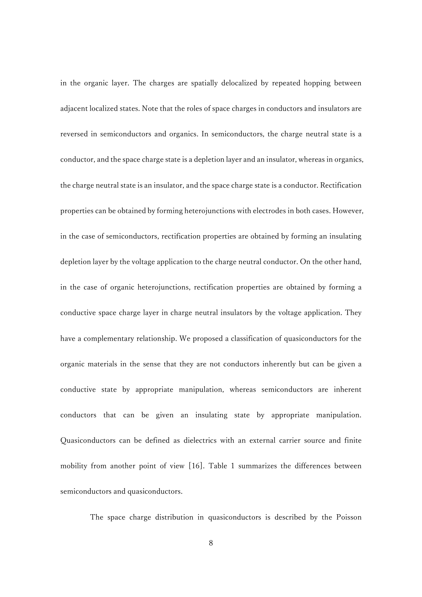in the organic layer. The charges are spatially delocalized by repeated hopping between adjacent localized states. Note that the roles of space charges in conductors and insulators are reversed in semiconductors and organics. In semiconductors, the charge neutral state is a conductor, and the space charge state is a depletion layer and an insulator, whereas in organics, the charge neutral state is an insulator, and the space charge state is a conductor. Rectification properties can be obtained by forming heterojunctions with electrodes in both cases. However, in the case of semiconductors, rectification properties are obtained by forming an insulating depletion layer by the voltage application to the charge neutral conductor. On the other hand, in the case of organic heterojunctions, rectification properties are obtained by forming a conductive space charge layer in charge neutral insulators by the voltage application. They have a complementary relationship. We proposed a classification of quasiconductors for the organic materials in the sense that they are not conductors inherently but can be given a conductive state by appropriate manipulation, whereas semiconductors are inherent conductors that can be given an insulating state by appropriate manipulation. Quasiconductors can be defined as dielectrics with an external carrier source and finite mobility from another point of view [16]. Table 1 summarizes the differences between semiconductors and quasiconductors.

The space charge distribution in quasiconductors is described by the Poisson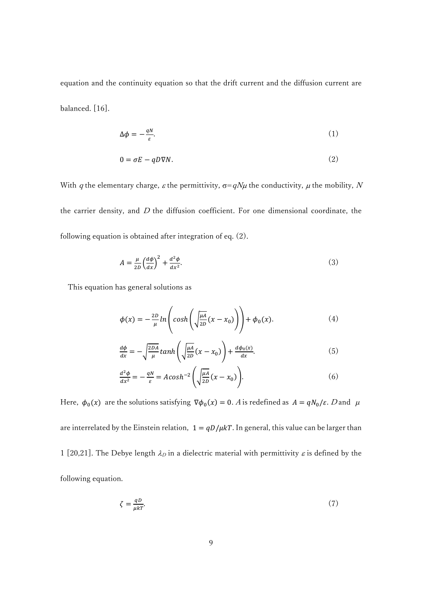equation and the continuity equation so that the drift current and the diffusion current are balanced. [16].

$$
\Delta \phi = -\frac{qN}{\varepsilon}.\tag{1}
$$

$$
0 = \sigma E - qD\nabla N. \tag{2}
$$

With q the elementary charge,  $\varepsilon$  the permittivity,  $\sigma=qN\mu$  the conductivity,  $\mu$  the mobility, N the carrier density, and  $D$  the diffusion coefficient. For one dimensional coordinate, the following equation is obtained after integration of eq. (2).

$$
A = \frac{\mu}{2D} \left(\frac{d\phi}{dx}\right)^2 + \frac{d^2\phi}{dx^2}.\tag{3}
$$

This equation has general solutions as

$$
\phi(x) = -\frac{2D}{\mu} \ln \left( \cosh \left( \sqrt{\frac{\mu A}{2D}} (x - x_0) \right) \right) + \phi_0(x). \tag{4}
$$

$$
\frac{d\phi}{dx} = -\sqrt{\frac{2DA}{\mu}} \tanh\left(\sqrt{\frac{\mu A}{2D}}(x - x_0)\right) + \frac{d\phi_0(x)}{dx}.\tag{5}
$$

$$
\frac{d^2\phi}{dx^2} = -\frac{qN}{\varepsilon} = Acosh^{-2}\left(\sqrt{\frac{\mu A}{2D}}(x - x_0)\right).
$$
 (6)

Here,  $\phi_0(x)$  are the solutions satisfying  $\nabla \phi_0(x) = 0$ . A is redefined as  $A = qN_0/\varepsilon$ . D and  $\mu$ are interrelated by the Einstein relation,  $1 = qD/\mu kT$ . In general, this value can be larger than 1 [20,21]. The Debye length  $\lambda_D$  in a dielectric material with permittivity  $\varepsilon$  is defined by the following equation.

$$
\zeta = \frac{qD}{\mu kT}.\tag{7}
$$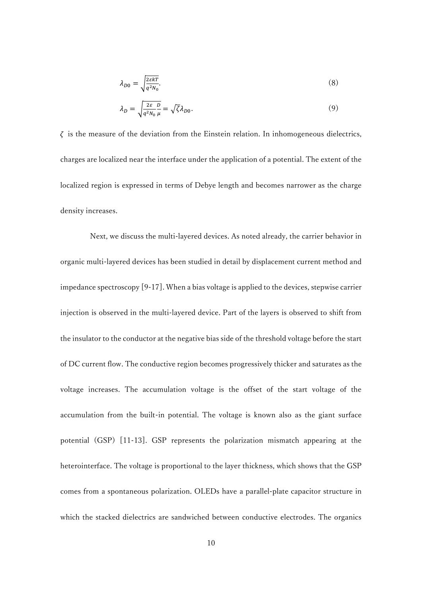$$
\lambda_{D0} = \sqrt{\frac{2\epsilon kT}{q^2 N_0}}.\tag{8}
$$

$$
\lambda_D = \sqrt{\frac{2\varepsilon}{q^2 N_0}} \frac{D}{\mu} = \sqrt{\zeta} \lambda_{D0}.
$$
\n(9)

 $\zeta$  is the measure of the deviation from the Einstein relation. In inhomogeneous dielectrics, charges are localized near the interface under the application of a potential. The extent of the localized region is expressed in terms of Debye length and becomes narrower as the charge density increases.

Next, we discuss the multi-layered devices. As noted already, the carrier behavior in organic multi-layered devices has been studied in detail by displacement current method and impedance spectroscopy [9-17]. When a bias voltage is applied to the devices, stepwise carrier injection is observed in the multi-layered device. Part of the layers is observed to shift from the insulator to the conductor at the negative bias side of the threshold voltage before the start of DC current flow. The conductive region becomes progressively thicker and saturates as the voltage increases. The accumulation voltage is the offset of the start voltage of the accumulation from the built-in potential. The voltage is known also as the giant surface potential (GSP) [11-13]. GSP represents the polarization mismatch appearing at the heterointerface. The voltage is proportional to the layer thickness, which shows that the GSP comes from a spontaneous polarization. OLEDs have a parallel-plate capacitor structure in which the stacked dielectrics are sandwiched between conductive electrodes. The organics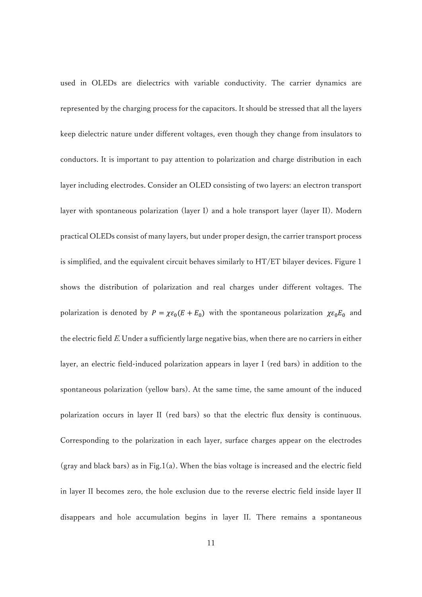used in OLEDs are dielectrics with variable conductivity. The carrier dynamics are represented by the charging process for the capacitors. It should be stressed that all the layers keep dielectric nature under different voltages, even though they change from insulators to conductors. It is important to pay attention to polarization and charge distribution in each layer including electrodes. Consider an OLED consisting of two layers: an electron transport layer with spontaneous polarization (layer I) and a hole transport layer (layer II). Modern practical OLEDs consist of many layers, but under proper design, the carrier transport process is simplified, and the equivalent circuit behaves similarly to HT/ET bilayer devices. Figure 1 shows the distribution of polarization and real charges under different voltages. The polarization is denoted by  $P = \chi \varepsilon_0 (E + E_0)$  with the spontaneous polarization  $\chi \varepsilon_0 E_0$  and the electric field  $E$ . Under a sufficiently large negative bias, when there are no carriers in either layer, an electric field-induced polarization appears in layer I (red bars) in addition to the spontaneous polarization (yellow bars). At the same time, the same amount of the induced polarization occurs in layer II (red bars) so that the electric flux density is continuous. Corresponding to the polarization in each layer, surface charges appear on the electrodes (gray and black bars) as in Fig.1(a). When the bias voltage is increased and the electric field in layer II becomes zero, the hole exclusion due to the reverse electric field inside layer II disappears and hole accumulation begins in layer II. There remains a spontaneous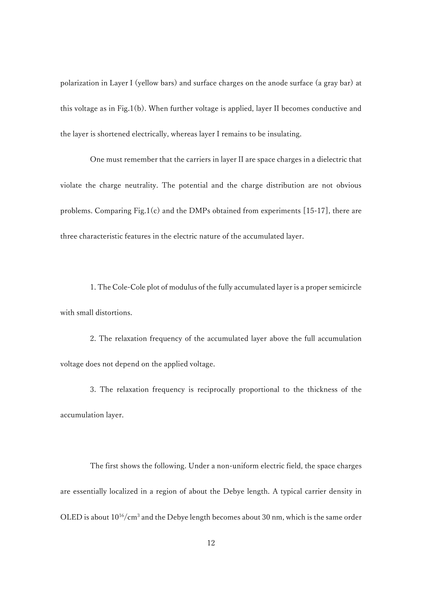polarization in Layer I (yellow bars) and surface charges on the anode surface (a gray bar) at this voltage as in Fig.1(b). When further voltage is applied, layer II becomes conductive and the layer is shortened electrically, whereas layer I remains to be insulating.

One must remember that the carriers in layer II are space charges in a dielectric that violate the charge neutrality. The potential and the charge distribution are not obvious problems. Comparing Fig.1(c) and the DMPs obtained from experiments [15-17], there are three characteristic features in the electric nature of the accumulated layer.

1. The Cole-Cole plot of modulus of the fully accumulated layer is a proper semicircle with small distortions.

2. The relaxation frequency of the accumulated layer above the full accumulation voltage does not depend on the applied voltage.

3. The relaxation frequency is reciprocally proportional to the thickness of the accumulation layer.

The first shows the following. Under a non-uniform electric field, the space charges are essentially localized in a region of about the Debye length. A typical carrier density in OLED is about 1016/cm<sup>3</sup> and the Debye length becomes about 30 nm, which is the same order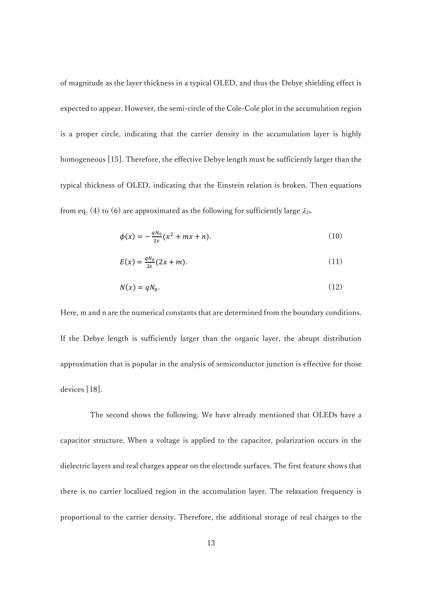of magnitude as the layer thickness in a typical OLED, and thus the Debye shielding effect is expected to appear. However, the semi-circle of the Cole-Cole plot in the accumulation region is a proper circle, indicating that the carrier density in the accumulation layer is highly homogeneous [15]. Therefore, the effective Debye length must be sufficiently larger than the typical thickness of OLED, indicating that the Einstein relation is broken. Then equations from eq. (4) to (6) are approximated as the following for sufficiently large  $\lambda_D$ .

$$
\phi(x) = -\frac{qN_0}{2\varepsilon}(x^2 + mx + n). \tag{10}
$$

$$
E(x) = \frac{qN_0}{2\varepsilon}(2x + m). \tag{11}
$$

$$
N(x) = qN_0. \tag{12}
$$

Here, m and n are the numerical constants that are determined from the boundary conditions. If the Debye length is sufficiently larger than the organic layer, the abrupt distribution approximation that is popular in the analysis of semiconductor junction is effective for those devices [18].

The second shows the following. We have already mentioned that OLEDs have a capacitor structure. When a voltage is applied to the capacitor, polarization occurs in the dielectric layers and real charges appear on the electrode surfaces. The first feature shows that there is no carrier localized region in the accumulation layer. The relaxation frequency is proportional to the carrier density. Therefore, the additional storage of real charges to the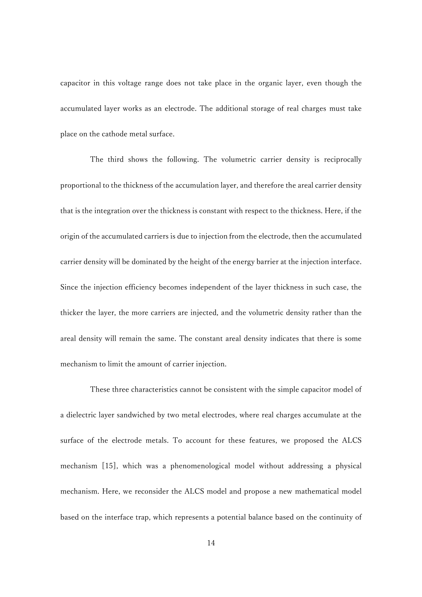capacitor in this voltage range does not take place in the organic layer, even though the accumulated layer works as an electrode. The additional storage of real charges must take place on the cathode metal surface.

The third shows the following. The volumetric carrier density is reciprocally proportional to the thickness of the accumulation layer, and therefore the areal carrier density that is the integration over the thickness is constant with respect to the thickness. Here, if the origin of the accumulated carriers is due to injection from the electrode, then the accumulated carrier density will be dominated by the height of the energy barrier at the injection interface. Since the injection efficiency becomes independent of the layer thickness in such case, the thicker the layer, the more carriers are injected, and the volumetric density rather than the areal density will remain the same. The constant areal density indicates that there is some mechanism to limit the amount of carrier injection.

These three characteristics cannot be consistent with the simple capacitor model of a dielectric layer sandwiched by two metal electrodes, where real charges accumulate at the surface of the electrode metals. To account for these features, we proposed the ALCS mechanism [15], which was a phenomenological model without addressing a physical mechanism. Here, we reconsider the ALCS model and propose a new mathematical model based on the interface trap, which represents a potential balance based on the continuity of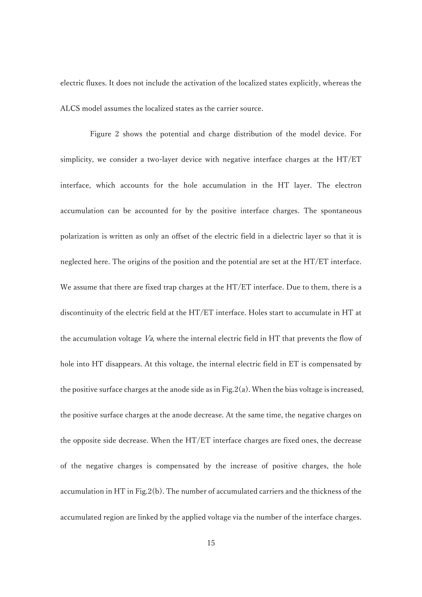electric fluxes. It does not include the activation of the localized states explicitly, whereas the ALCS model assumes the localized states as the carrier source.

Figure 2 shows the potential and charge distribution of the model device. For simplicity, we consider a two-layer device with negative interface charges at the HT/ET interface, which accounts for the hole accumulation in the HT layer. The electron accumulation can be accounted for by the positive interface charges. The spontaneous polarization is written as only an offset of the electric field in a dielectric layer so that it is neglected here. The origins of the position and the potential are set at the HT/ET interface. We assume that there are fixed trap charges at the HT/ET interface. Due to them, there is a discontinuity of the electric field at the HT/ET interface. Holes start to accumulate in HT at the accumulation voltage Va, where the internal electric field in HT that prevents the flow of hole into HT disappears. At this voltage, the internal electric field in ET is compensated by the positive surface charges at the anode side as in Fig.  $2(a)$ . When the bias voltage is increased, the positive surface charges at the anode decrease. At the same time, the negative charges on the opposite side decrease. When the HT/ET interface charges are fixed ones, the decrease of the negative charges is compensated by the increase of positive charges, the hole accumulation in HT in Fig.2(b). The number of accumulated carriers and the thickness of the accumulated region are linked by the applied voltage via the number of the interface charges.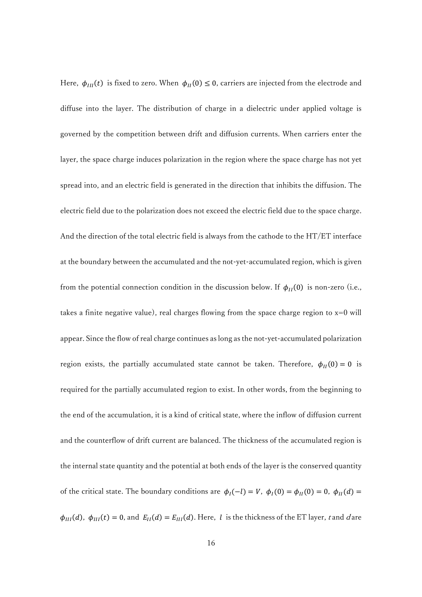Here,  $\phi_{III}(t)$  is fixed to zero. When  $\phi_{II}(0) \leq 0$ , carriers are injected from the electrode and diffuse into the layer. The distribution of charge in a dielectric under applied voltage is governed by the competition between drift and diffusion currents. When carriers enter the layer, the space charge induces polarization in the region where the space charge has not yet spread into, and an electric field is generated in the direction that inhibits the diffusion. The electric field due to the polarization does not exceed the electric field due to the space charge. And the direction of the total electric field is always from the cathode to the HT/ET interface at the boundary between the accumulated and the not-yet-accumulated region, which is given from the potential connection condition in the discussion below. If  $\phi_{II}(0)$  is non-zero (i.e., takes a finite negative value), real charges flowing from the space charge region to  $x=0$  will appear. Since the flow of real charge continues as long as the not-yet-accumulated polarization region exists, the partially accumulated state cannot be taken. Therefore,  $\phi_{II}(0) = 0$  is required for the partially accumulated region to exist. In other words, from the beginning to the end of the accumulation, it is a kind of critical state, where the inflow of diffusion current and the counterflow of drift current are balanced. The thickness of the accumulated region is the internal state quantity and the potential at both ends of the layer is the conserved quantity of the critical state. The boundary conditions are  $\phi_I(-l) = V$ ,  $\phi_I(0) = \phi_{II}(0) = 0$ ,  $\phi_{II}(d) =$  $\phi_{III}(d)$ ,  $\phi_{III}(t) = 0$ , and  $E_{II}(d) = E_{III}(d)$ . Here, *l* is the thickness of the ET layer, t and d are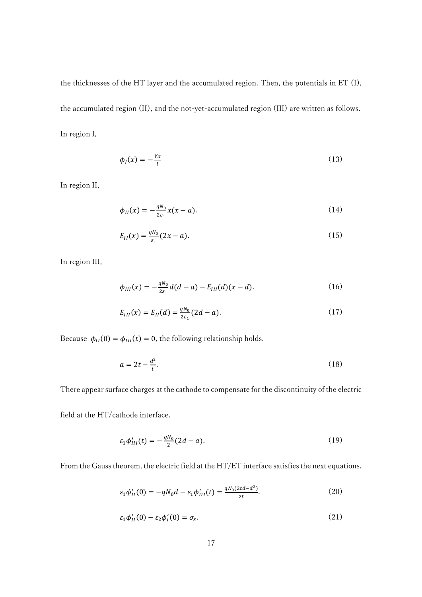the thicknesses of the HT layer and the accumulated region. Then, the potentials in ET (I), the accumulated region (II), and the not-yet-accumulated region (III) are written as follows. In region I,

$$
\phi_I(x) = -\frac{v_x}{l} \tag{13}
$$

In region II,

$$
\phi_{II}(x) = -\frac{qN_0}{2\varepsilon_1}x(x-a). \tag{14}
$$

$$
E_{II}(x) = \frac{qN_0}{\varepsilon_1} (2x - a). \tag{15}
$$

In region III,

$$
\phi_{III}(x) = -\frac{qN_0}{2\varepsilon_1}d(d-a) - E_{III}(d)(x-d). \tag{16}
$$

$$
E_{III}(x) = E_{II}(d) = \frac{qN_0}{2\varepsilon_1} (2d - a). \tag{17}
$$

Because  $\phi_{II}(0) = \phi_{III}(t) = 0$ , the following relationship holds.

$$
a = 2t - \frac{d^2}{t}.\tag{18}
$$

There appear surface charges at the cathode to compensate for the discontinuity of the electric

field at the HT/cathode interface.

$$
\varepsilon_1 \phi'_{III}(t) = -\frac{qN_0}{2}(2d - a). \tag{19}
$$

From the Gauss theorem, the electric field at the HT/ET interface satisfies the next equations.

$$
\varepsilon_1 \phi'_{II}(0) = -qN_0 d - \varepsilon_1 \phi'_{III}(t) = \frac{qN_0(2td - d^2)}{2t}.
$$
\n(20)

$$
\varepsilon_1 \phi'_{II}(0) - \varepsilon_2 \phi'_I(0) = \sigma_s. \tag{21}
$$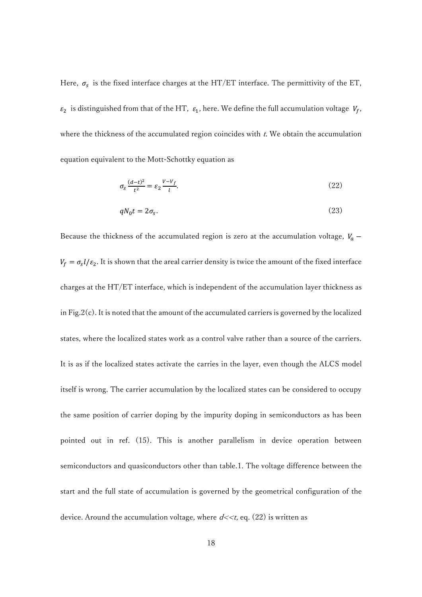Here,  $\sigma_s$  is the fixed interface charges at the HT/ET interface. The permittivity of the ET,  $\varepsilon_2$  is distinguished from that of the HT,  $\varepsilon_1$ , here. We define the full accumulation voltage  $V_f$ , where the thickness of the accumulated region coincides with  $t$ . We obtain the accumulation equation equivalent to the Mott-Schottky equation as

$$
\sigma_s \frac{(d-t)^2}{t^2} = \varepsilon_2 \frac{V - V_f}{l}.\tag{22}
$$

$$
qN_0t = 2\sigma_s. \tag{23}
$$

Because the thickness of the accumulated region is zero at the accumulation voltage,  $V_a$  –  $V_f = \sigma_s l/\varepsilon_2$ . It is shown that the areal carrier density is twice the amount of the fixed interface charges at the HT/ET interface, which is independent of the accumulation layer thickness as in Fig.2(c). It is noted that the amount of the accumulated carriers is governed by the localized states, where the localized states work as a control valve rather than a source of the carriers. It is as if the localized states activate the carries in the layer, even though the ALCS model itself is wrong. The carrier accumulation by the localized states can be considered to occupy the same position of carrier doping by the impurity doping in semiconductors as has been pointed out in ref. (15). This is another parallelism in device operation between semiconductors and quasiconductors other than table.1. The voltage difference between the start and the full state of accumulation is governed by the geometrical configuration of the device. Around the accumulation voltage, where  $d \ll t$ , eq. (22) is written as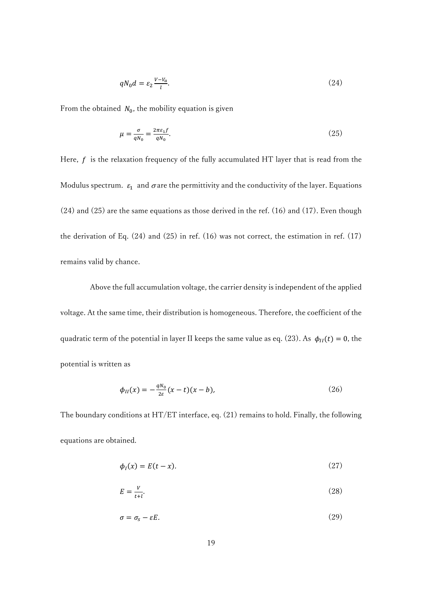$$
qN_0d = \varepsilon_2 \frac{v - v_a}{l}.\tag{24}
$$

From the obtained  $N_0$ , the mobility equation is given

$$
\mu = \frac{\sigma}{qN_0} = \frac{2\pi\varepsilon_1 f}{qN_0}.\tag{25}
$$

Here,  $f$  is the relaxation frequency of the fully accumulated HT layer that is read from the Modulus spectrum.  $\varepsilon_1$  and  $\sigma$  are the permittivity and the conductivity of the layer. Equations (24) and (25) are the same equations as those derived in the ref. (16) and (17). Even though the derivation of Eq. (24) and (25) in ref. (16) was not correct, the estimation in ref. (17) remains valid by chance.

Above the full accumulation voltage, the carrier density is independent of the applied voltage. At the same time, their distribution is homogeneous. Therefore, the coefficient of the quadratic term of the potential in layer II keeps the same value as eq. (23). As  $\phi_{II}(t) = 0$ , the potential is written as

$$
\phi_{II}(x) = -\frac{qN_0}{2\varepsilon}(x-t)(x-b),
$$
\n(26)

The boundary conditions at HT/ET interface, eq. (21) remains to hold. Finally, the following equations are obtained.

$$
\phi_I(x) = E(t - x). \tag{27}
$$

$$
E = \frac{V}{t + l}.\tag{28}
$$

$$
\sigma = \sigma_s - \varepsilon E. \tag{29}
$$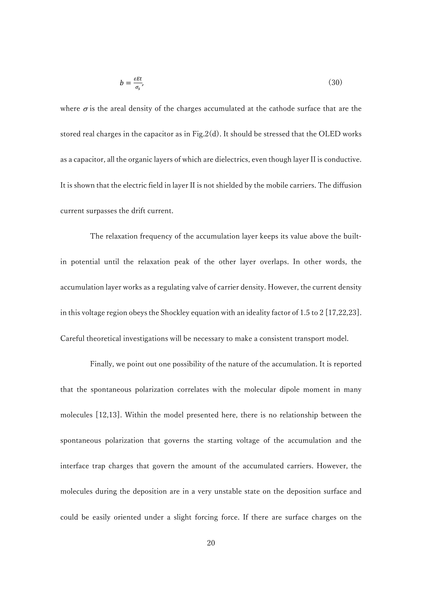$$
b = \frac{\varepsilon E t}{\sigma_s},\tag{30}
$$

where  $\sigma$  is the areal density of the charges accumulated at the cathode surface that are the stored real charges in the capacitor as in Fig.2(d). It should be stressed that the OLED works as a capacitor, all the organic layers of which are dielectrics, even though layer II is conductive. It is shown that the electric field in layer II is not shielded by the mobile carriers. The diffusion current surpasses the drift current.

The relaxation frequency of the accumulation layer keeps its value above the builtin potential until the relaxation peak of the other layer overlaps. In other words, the accumulation layer works as a regulating valve of carrier density. However, the current density in this voltage region obeys the Shockley equation with an ideality factor of 1.5 to 2 [17,22,23]. Careful theoretical investigations will be necessary to make a consistent transport model.

Finally, we point out one possibility of the nature of the accumulation. It is reported that the spontaneous polarization correlates with the molecular dipole moment in many molecules [12,13]. Within the model presented here, there is no relationship between the spontaneous polarization that governs the starting voltage of the accumulation and the interface trap charges that govern the amount of the accumulated carriers. However, the molecules during the deposition are in a very unstable state on the deposition surface and could be easily oriented under a slight forcing force. If there are surface charges on the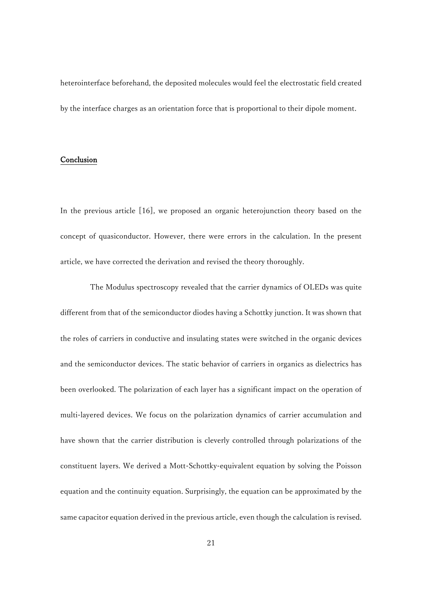heterointerface beforehand, the deposited molecules would feel the electrostatic field created by the interface charges as an orientation force that is proportional to their dipole moment.

## Conclusion

In the previous article [16], we proposed an organic heterojunction theory based on the concept of quasiconductor. However, there were errors in the calculation. In the present article, we have corrected the derivation and revised the theory thoroughly.

The Modulus spectroscopy revealed that the carrier dynamics of OLEDs was quite different from that of the semiconductor diodes having a Schottky junction. It was shown that the roles of carriers in conductive and insulating states were switched in the organic devices and the semiconductor devices. The static behavior of carriers in organics as dielectrics has been overlooked. The polarization of each layer has a significant impact on the operation of multi-layered devices. We focus on the polarization dynamics of carrier accumulation and have shown that the carrier distribution is cleverly controlled through polarizations of the constituent layers. We derived a Mott-Schottky-equivalent equation by solving the Poisson equation and the continuity equation. Surprisingly, the equation can be approximated by the same capacitor equation derived in the previous article, even though the calculation is revised.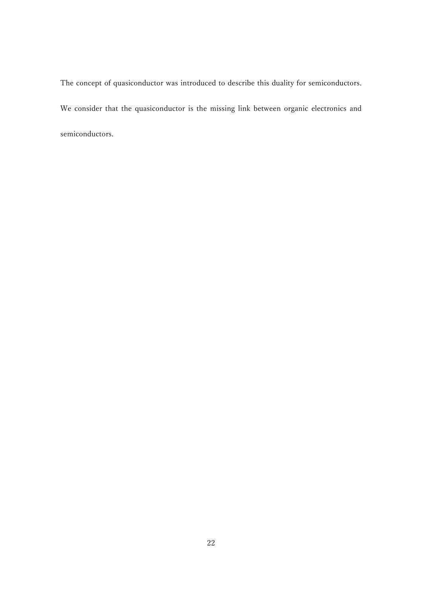The concept of quasiconductor was introduced to describe this duality for semiconductors. We consider that the quasiconductor is the missing link between organic electronics and semiconductors.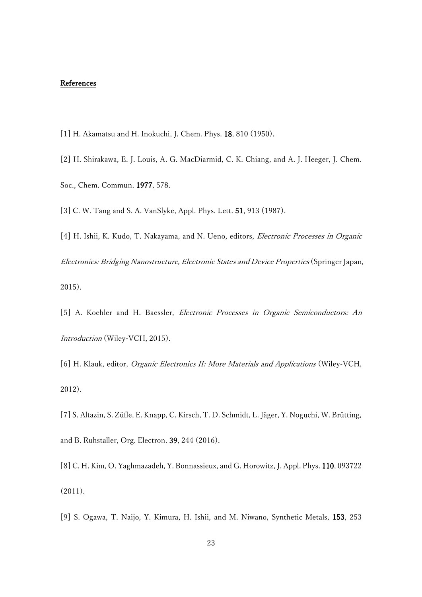### References

- [1] H. Akamatsu and H. Inokuchi, J. Chem. Phys. 18, 810 (1950).
- [2] H. Shirakawa, E. J. Louis, A. G. MacDiarmid, C. K. Chiang, and A. J. Heeger, J. Chem. Soc., Chem. Commun. 1977, 578.
- [3] C. W. Tang and S. A. VanSlyke, Appl. Phys. Lett. 51, 913 (1987).
- [4] H. Ishii, K. Kudo, T. Nakayama, and N. Ueno, editors, Electronic Processes in Organic Electronics: Bridging Nanostructure, Electronic States and Device Properties (Springer Japan, 2015).
- [5] A. Koehler and H. Baessler, Electronic Processes in Organic Semiconductors: An Introduction (Wiley-VCH, 2015).
- [6] H. Klauk, editor, Organic Electronics II: More Materials and Applications (Wiley-VCH, 2012).
- [7] S. Altazin, S. Züfle, E. Knapp, C. Kirsch, T. D. Schmidt, L. Jäger, Y. Noguchi, W. Brütting, and B. Ruhstaller, Org. Electron. 39, 244 (2016).
- [8] C. H. Kim, O. Yaghmazadeh, Y. Bonnassieux, and G. Horowitz, J. Appl. Phys. 110, 093722 (2011).
- [9] S. Ogawa, T. Naijo, Y. Kimura, H. Ishii, and M. Niwano, Synthetic Metals, 153, 253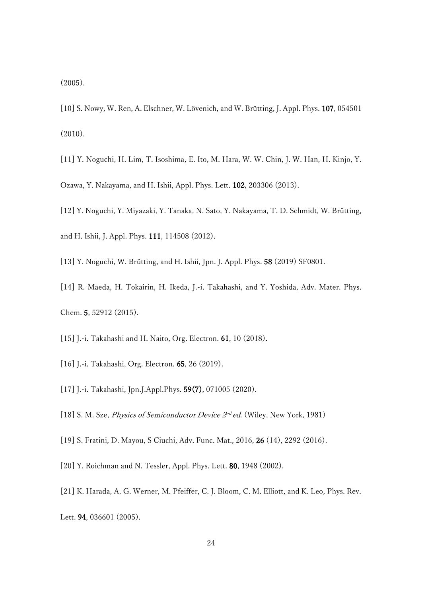(2005).

- [10] S. Nowy, W. Ren, A. Elschner, W. Lövenich, and W. Brütting, J. Appl. Phys. 107, 054501 (2010).
- [11] Y. Noguchi, H. Lim, T. Isoshima, E. Ito, M. Hara, W. W. Chin, J. W. Han, H. Kinjo, Y. Ozawa, Y. Nakayama, and H. Ishii, Appl. Phys. Lett. 102, 203306 (2013).
- [12] Y. Noguchi, Y. Miyazaki, Y. Tanaka, N. Sato, Y. Nakayama, T. D. Schmidt, W. Brütting,
- 
- [13] Y. Noguchi, W. Brütting, and H. Ishii, Jpn. J. Appl. Phys. 58 (2019) SF0801.
- [14] R. Maeda, H. Tokairin, H. Ikeda, J.-i. Takahashi, and Y. Yoshida, Adv. Mater. Phys. Chem. 5, 52912 (2015).
- [15] J.-i. Takahashi and H. Naito, Org. Electron. 61, 10 (2018).
- [16] J.-i. Takahashi, Org. Electron. 65, 26 (2019).

and H. Ishii, J. Appl. Phys. 111, 114508 (2012).

- [17] J.-i. Takahashi, Jpn.J.Appl.Phys. 59(7), 071005 (2020).
- [18] S. M. Sze, *Physics of Semiconductor Device 2<sup>nd</sup> ed*. (Wiley, New York, 1981)
- [19] S. Fratini, D. Mayou, S Ciuchi, Adv. Func. Mat., 2016, 26 (14), 2292 (2016).
- [20] Y. Roichman and N. Tessler, Appl. Phys. Lett. 80, 1948 (2002).
- [21] K. Harada, A. G. Werner, M. Pfeiffer, C. J. Bloom, C. M. Elliott, and K. Leo, Phys. Rev.
- Lett. 94, 036601 (2005).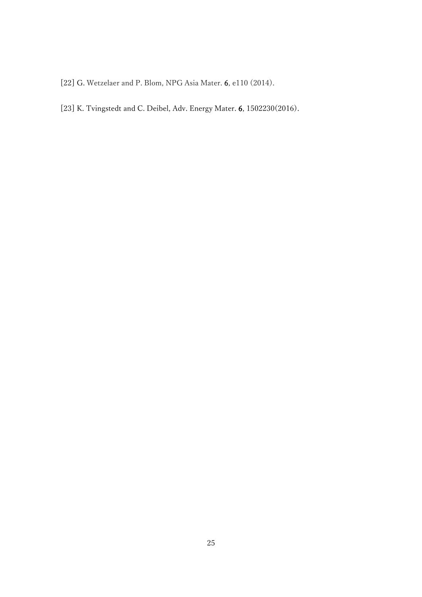[22] G. Wetzelaer and P. Blom, NPG Asia Mater. 6, e110 (2014).

[23] K. Tvingstedt and C. Deibel, Adv. Energy Mater. 6, 1502230(2016).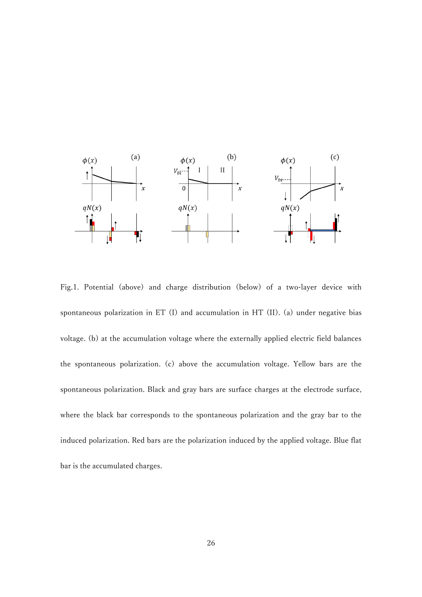

Fig.1. Potential (above) and charge distribution (below) of a two-layer device with spontaneous polarization in ET (I) and accumulation in HT (II). (a) under negative bias voltage. (b) at the accumulation voltage where the externally applied electric field balances the spontaneous polarization. (c) above the accumulation voltage. Yellow bars are the spontaneous polarization. Black and gray bars are surface charges at the electrode surface, where the black bar corresponds to the spontaneous polarization and the gray bar to the induced polarization. Red bars are the polarization induced by the applied voltage. Blue flat bar is the accumulated charges.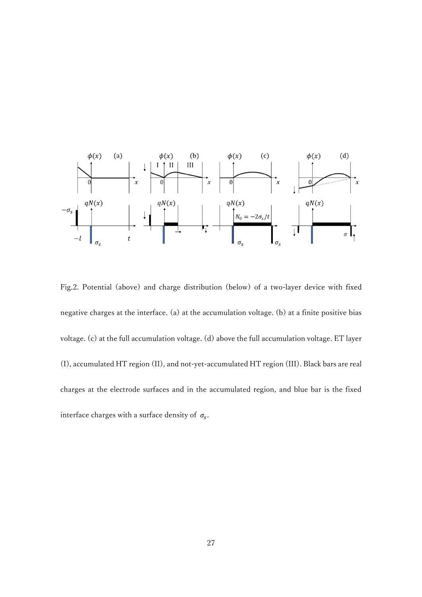

Fig.2. Potential (above) and charge distribution (below) of a two-layer device with fixed negative charges at the interface. (a) at the accumulation voltage. (b) at a finite positive bias voltage. (c) at the full accumulation voltage. (d) above the full accumulation voltage. ET layer (I), accumulated HT region (II), and not-yet-accumulated HT region (III). Black bars are real charges at the electrode surfaces and in the accumulated region, and blue bar is the fixed interface charges with a surface density of  $\sigma_s$ .